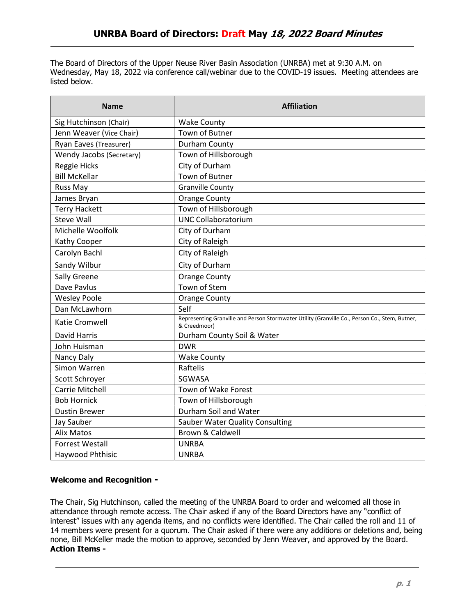The Board of Directors of the Upper Neuse River Basin Association (UNRBA) met at 9:30 A.M. on Wednesday, May 18, 2022 via conference call/webinar due to the COVID-19 issues. Meeting attendees are listed below.

| <b>Name</b>              | <b>Affiliation</b>                                                                                             |
|--------------------------|----------------------------------------------------------------------------------------------------------------|
| Sig Hutchinson (Chair)   | <b>Wake County</b>                                                                                             |
| Jenn Weaver (Vice Chair) | <b>Town of Butner</b>                                                                                          |
| Ryan Eaves (Treasurer)   | Durham County                                                                                                  |
| Wendy Jacobs (Secretary) | Town of Hillsborough                                                                                           |
| Reggie Hicks             | City of Durham                                                                                                 |
| <b>Bill McKellar</b>     | <b>Town of Butner</b>                                                                                          |
| <b>Russ May</b>          | <b>Granville County</b>                                                                                        |
| James Bryan              | <b>Orange County</b>                                                                                           |
| <b>Terry Hackett</b>     | Town of Hillsborough                                                                                           |
| <b>Steve Wall</b>        | <b>UNC Collaboratorium</b>                                                                                     |
| Michelle Woolfolk        | City of Durham                                                                                                 |
| Kathy Cooper             | City of Raleigh                                                                                                |
| Carolyn Bachl            | City of Raleigh                                                                                                |
| Sandy Wilbur             | City of Durham                                                                                                 |
| Sally Greene             | <b>Orange County</b>                                                                                           |
| Dave Pavlus              | Town of Stem                                                                                                   |
| <b>Wesley Poole</b>      | <b>Orange County</b>                                                                                           |
| Dan McLawhorn            | Self                                                                                                           |
| Katie Cromwell           | Representing Granville and Person Stormwater Utility (Granville Co., Person Co., Stem, Butner,<br>& Creedmoor) |
| <b>David Harris</b>      | Durham County Soil & Water                                                                                     |
| John Huisman             | <b>DWR</b>                                                                                                     |
| Nancy Daly               | <b>Wake County</b>                                                                                             |
| Simon Warren             | Raftelis                                                                                                       |
| Scott Schroyer           | SGWASA                                                                                                         |
| Carrie Mitchell          | Town of Wake Forest                                                                                            |
| <b>Bob Hornick</b>       | Town of Hillsborough                                                                                           |
| <b>Dustin Brewer</b>     | Durham Soil and Water                                                                                          |
| Jay Sauber               | <b>Sauber Water Quality Consulting</b>                                                                         |
| <b>Alix Matos</b>        | <b>Brown &amp; Caldwell</b>                                                                                    |
| <b>Forrest Westall</b>   | <b>UNRBA</b>                                                                                                   |
| Haywood Phthisic         | <b>UNRBA</b>                                                                                                   |

## Welcome and Recognition -

The Chair, Sig Hutchinson, called the meeting of the UNRBA Board to order and welcomed all those in attendance through remote access. The Chair asked if any of the Board Directors have any "conflict of interest" issues with any agenda items, and no conflicts were identified. The Chair called the roll and 11 of 14 members were present for a quorum. The Chair asked if there were any additions or deletions and, being none, Bill McKeller made the motion to approve, seconded by Jenn Weaver, and approved by the Board. Action Items -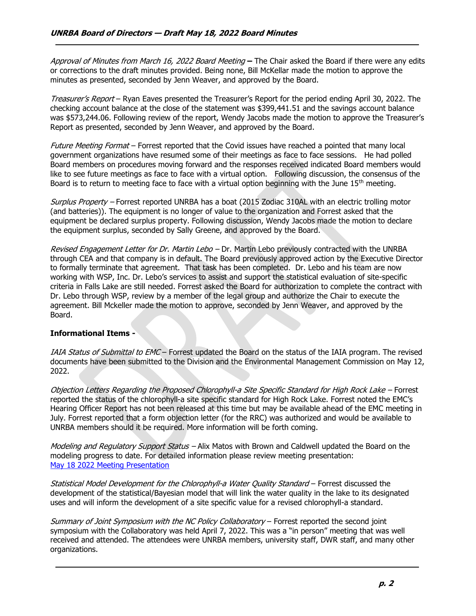Approval of Minutes from March 16, 2022 Board Meeting – The Chair asked the Board if there were any edits or corrections to the draft minutes provided. Being none, Bill McKellar made the motion to approve the minutes as presented, seconded by Jenn Weaver, and approved by the Board.

Treasurer's Report – Ryan Eaves presented the Treasurer's Report for the period ending April 30, 2022. The checking account balance at the close of the statement was \$399,441.51 and the savings account balance was \$573,244.06. Following review of the report, Wendy Jacobs made the motion to approve the Treasurer's Report as presented, seconded by Jenn Weaver, and approved by the Board.

Future Meeting Format – Forrest reported that the Covid issues have reached a pointed that many local government organizations have resumed some of their meetings as face to face sessions. He had polled Board members on procedures moving forward and the responses received indicated Board members would like to see future meetings as face to face with a virtual option. Following discussion, the consensus of the Board is to return to meeting face to face with a virtual option beginning with the June 15<sup>th</sup> meeting.

Surplus Property - Forrest reported UNRBA has a boat (2015 Zodiac 310AL with an electric trolling motor (and batteries)). The equipment is no longer of value to the organization and Forrest asked that the equipment be declared surplus property. Following discussion, Wendy Jacobs made the motion to declare the equipment surplus, seconded by Sally Greene, and approved by the Board.

Revised Engagement Letter for Dr. Martin Lebo - Dr. Martin Lebo previously contracted with the UNRBA through CEA and that company is in default. The Board previously approved action by the Executive Director to formally terminate that agreement. That task has been completed. Dr. Lebo and his team are now working with WSP, Inc. Dr. Lebo's services to assist and support the statistical evaluation of site-specific criteria in Falls Lake are still needed. Forrest asked the Board for authorization to complete the contract with Dr. Lebo through WSP, review by a member of the legal group and authorize the Chair to execute the agreement. Bill Mckeller made the motion to approve, seconded by Jenn Weaver, and approved by the Board.

## Informational Items -

IAIA Status of Submittal to EMC – Forrest updated the Board on the status of the IAIA program. The revised documents have been submitted to the Division and the Environmental Management Commission on May 12, 2022.

Objection Letters Regarding the Proposed Chlorophyll-a Site Specific Standard for High Rock Lake – Forrest reported the status of the chlorophyll-a site specific standard for High Rock Lake. Forrest noted the EMC's Hearing Officer Report has not been released at this time but may be available ahead of the EMC meeting in July. Forrest reported that a form objection letter (for the RRC) was authorized and would be available to UNRBA members should it be required. More information will be forth coming.

Modeling and Regulatory Support Status – Alix Matos with Brown and Caldwell updated the Board on the modeling progress to date. For detailed information please review meeting presentation: May 18 2022 Meeting Presentation

Statistical Model Development for the Chlorophyll-a Water Quality Standard - Forrest discussed the development of the statistical/Bayesian model that will link the water quality in the lake to its designated uses and will inform the development of a site specific value for a revised chlorophyll-a standard.

Summary of Joint Symposium with the NC Policy Collaboratory - Forrest reported the second joint symposium with the Collaboratory was held April 7, 2022. This was a "in person" meeting that was well received and attended. The attendees were UNRBA members, university staff, DWR staff, and many other organizations.